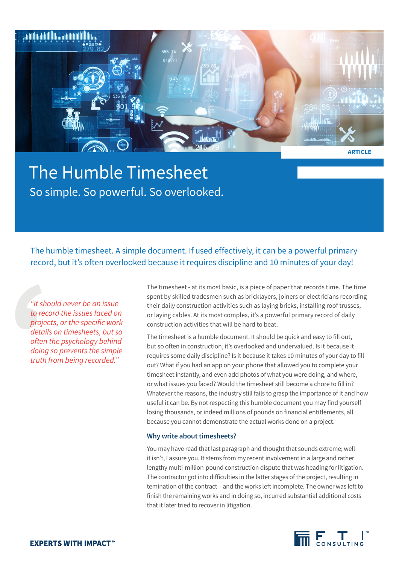

**ARTICLE**

# The Humble Timesheet So simple. So powerful. So overlooked.

The humble timesheet. A simple document. If used effectively, it can be a powerful primary record, but it's often overlooked because it requires discipline and 10 minutes of your day!

*"It should never be an issue to record the issues faced on projects, or the specific work details on timesheets, but so often the psychology behind doing so prevents the simple truth from being recorded."*

The timesheet - at its most basic, is a piece of paper that records time. The time spent by skilled tradesmen such as bricklayers, joiners or electricians recording their daily construction activities such as laying bricks, installing roof trusses, or laying cables. At its most complex, it's a powerful primary record of daily construction activities that will be hard to beat.

The timesheet is a humble document. It should be quick and easy to fill out, but so often in construction, it's overlooked and undervalued. Is it because it requires some daily discipline? Is it because it takes 10 minutes of your day to fill out? What if you had an app on your phone that allowed you to complete your timesheet instantly, and even add photos of what you were doing, and where, or what issues you faced? Would the timesheet still become a chore to fill in? Whatever the reasons, the industry still fails to grasp the importance of it and how useful it can be. By not respecting this humble document you may find yourself losing thousands, or indeed millions of pounds on financial entitlements, all because you cannot demonstrate the actual works done on a project.

## **Why write about timesheets?**

You may have read that last paragraph and thought that sounds extreme; well it isn't, I assure you. It stems from my recent involvement in a large and rather lengthy multi-million-pound construction dispute that was heading for litigation. The contractor got into difficulties in the latter stages of the project, resulting in temination of the contract – and the works left incomplete. The owner was left to finish the remaining works and in doing so, incurred substantial additional costs that it later tried to recover in litigation.

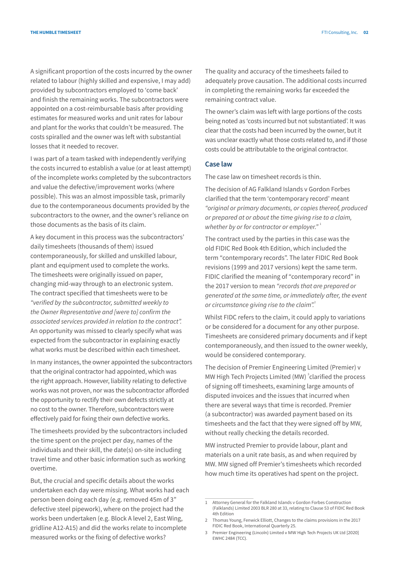A significant proportion of the costs incurred by the owner related to labour (highly skilled and expensive, I may add) provided by subcontractors employed to 'come back' and finish the remaining works. The subcontractors were appointed on a cost-reimbursable basis after providing estimates for measured works and unit rates for labour and plant for the works that couldn't be measured. The costs spiralled and the owner was left with substantial losses that it needed to recover.

I was part of a team tasked with independently verifying the costs incurred to establish a value (or at least attempt) of the incomplete works completed by the subcontractors and value the defective/improvement works (where possible). This was an almost impossible task, primarily due to the contemporaneous documents provided by the subcontractors to the owner, and the owner's reliance on those documents as the basis of its claim.

A key document in this process was the subcontractors' daily timesheets (thousands of them) issued contemporaneously, for skilled and unskilled labour, plant and equipment used to complete the works. The timesheets were originally issued on paper, changing mid-way through to an electronic system. The contract specified that timesheets were to be *"verified by the subcontractor, submitted weekly to the Owner Representative and [were to] confirm the associated services provided in relation to the contract".*  An opportunity was missed to clearly specify what was expected from the subcontractor in explaining exactly what works must be described within each timesheet.

In many instances, the owner appointed the subcontractors that the original contractor had appointed, which was the right approach. However, liability relating to defective works was not proven, nor was the subcontractor afforded the opportunity to rectify their own defects strictly at no cost to the owner. Therefore, subcontractors were effectively paid for fixing their own defective works.

The timesheets provided by the subcontractors included the time spent on the project per day, names of the individuals and their skill, the date(s) on-site including travel time and other basic information such as working overtime.

But, the crucial and specific details about the works undertaken each day were missing. What works had each person been doing each day (e.g. removed 45m of 3" defective steel pipework), where on the project had the works been undertaken (e.g. Block A level 2, East Wing, gridline A12-A15) and did the works relate to incomplete measured works or the fixing of defective works?

The quality and accuracy of the timesheets failed to adequately prove causation. The additional costs incurred in completing the remaining works far exceeded the remaining contract value.

The owner's claim was left with large portions of the costs being noted as 'costs incurred but not substantiated'. It was clear that the costs had been incurred by the owner, but it was unclear exactly what those costs related to, and if those costs could be attributable to the original contractor.

## **Case law**

The case law on timesheet records is thin.

The decision of AG Falkland Islands v Gordon Forbes clarified that the term 'contemporary record' meant *"original or primary documents, or copies thereof, produced or prepared at or about the time giving rise to a claim,*  whether by or for contractor or employer."<sup>1</sup>

The contract used by the parties in this case was the old FIDIC Red Book 4th Edition, which included the term "contemporary records". The later FIDIC Red Book revisions (1999 and 2017 versions) kept the same term. FIDIC clarified the meaning of "contemporary record" in the 2017 version to mean *"records that are prepared or generated at the same time, or immediately after, the event or circumstance giving rise to the claim".*<sup>2</sup>

Whilst FIDC refers to the claim, it could apply to variations or be considered for a document for any other purpose. Timesheets are considered primary documents and if kept contemporaneously, and then issued to the owner weekly, would be considered contemporary.

The decision of Premier Engineering Limited (Premier) v MW High Tech Projects Limited (MW)<sup>3</sup> clarified the process of signing off timesheets, examining large amounts of disputed invoices and the issues that incurred when there are several ways that time is recorded. Premier (a subcontractor) was awarded payment based on its timesheets and the fact that they were signed off by MW, without really checking the details recorded.

MW instructed Premier to provide labour, plant and materials on a unit rate basis, as and when required by MW. MW signed off Premier's timesheets which recorded how much time its operatives had spent on the project.

<sup>1</sup> Attorney General for the Falkland Islands v Gordon Forbes Construction (Falklands) Limited 2003 BLR 280 at 33, relating to Clause 53 of FIDIC Red Book 4th Edition

<sup>2</sup> Thomas Young, Fenwick Elliott, Changes to the claims provisions in the 2017 FIDIC Red Book, International Quarterly 25.

<sup>3</sup> Premier Engineering (Lincoln) Limited v MW High Tech Projects UK Ltd [2020] EWHC 2484 (TCC).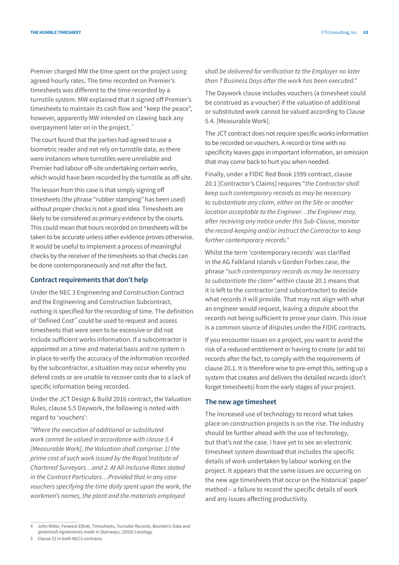Premier charged MW the time spent on the project using agreed hourly rates. The time recorded on Premier's timesheets was different to the time recorded by a turnstile system. MW explained that it signed off Premier's timesheets to maintain its cash flow and "keep the peace", however, apparently MW intended on clawing back any overpayment later on in the project.<sup>4</sup>

The court found that the parties had agreed to use a biometric reader and not rely on turnstile data, as there were instances where turnstiles were unreliable and Premier had labour off-site undertaking certain works, which would have been recorded by the turnstile as off-site.

The lesson from this case is that simply signing off timesheets (the phrase "rubber stamping" has been used) without proper checks is not a good idea. Timesheets are likely to be considered as primary evidence by the courts. This could mean that hours recorded on timesheets will be taken to be accurate unless other evidence proves otherwise. It would be useful to implement a process of meaningful checks by the receiver of the timesheets so that checks can be done contemporaneously and not after the fact.

#### **Contract requirements that don't help**

Under the NEC 3 Engineering and Construction Contract and the Engineering and Construction Subcontract, nothing is specified for the recording of time. The definition of 'Defined Cost'<sup>5</sup> could be used to request and assess timesheets that were seen to be excessive or did not include sufficient works information. If a subcontractor is appointed on a time and material basis and no system is in place to verify the accuracy of the information recorded by the subcontractor, a situation may occur whereby you defend costs or are unable to recover costs due to a lack of specific information being recorded.

Under the JCT Design & Build 2016 contract, the Valuation Rules, clause 5.5 Daywork, the following is noted with regard to 'vouchers':

*"Where the execution of additional or substituted work cannot be valued in accordance with clause 5.4 [Measurable Work], the Valuation shall comprise: 1) the prime cost of such work issued by the Royal Institute of Chartered Surveyors…and 2. At All-Inclusive Rates stated in the Contract Particulars…Provided that in any case vouchers specifying the time daily spent upon the work, the workmen's names, the plant and the materials employed* 

The Daywork clause includes vouchers (a timesheet could be construed as a voucher) if the valuation of additional or substituted work cannot be valued according to Clause 5.4. [Measurable Work].

The JCT contract does not require specific works information to be recorded on vouchers. A record or time with no specificity leaves gaps in important information, an omission that may come back to hurt you when needed.

Finally, under a FIDIC Red Book 1999 contract, clause 20.1 [Contractor's Claims] requires "*the Contractor shall keep such contemporary records as may be necessary to substantiate any claim, either on the Site or another location acceptable to the Engineer…the Engineer may, after receiving any notice under this Sub-Clause, monitor the record-keeping and/or instruct the Contractor to keep further contemporary records."*

Whilst the term 'contemporary records' was clarified in the AG Falkland Islands v Gordon Forbes case, the phrase *"such contemporary records as may be necessary to substantiate the claim"* within clause 20.1 means that it is left to the contractor (and subcontractor) to decide what records it will provide. That may not align with what an engineer would request, leaving a dispute about the records not being sufficient to prove your claim. This issue is a common source of disputes under the FIDIC contracts.

If you encounter issues on a project, you want to avoid the risk of a reduced entitlement or having to create (or add to) records after the fact, to comply with the requirements of clause 20.1. It is therefore wise to pre-empt this, setting up a system that creates and delivers the detailed records (don't forget timesheets) from the early stages of your project.

#### **The new age timesheet**

The increased use of technology to record what takes place on construction projects is on the rise. The industry should be further ahead with the use of technology, but that's not the case. I have yet to see an electronic timesheet system download that includes the specific details of work undertaken by labour working on the project. It appears that the same issues are occurring on the new age timesheets that occur on the historical 'paper' method – a failure to record the specific details of work and any issues affecting productivity.

*shall be delivered for verification to the Employer no later than 7 Business Days after the work has been executed."*

<sup>4</sup> John Miller, Fenwick Elliott, Timesheets, Turnstile Records, Biometric Data and (potential) Agreements made in Stairways, (2020) Lexology.

<sup>5</sup> Clause 52 in both NEC3 contracts.